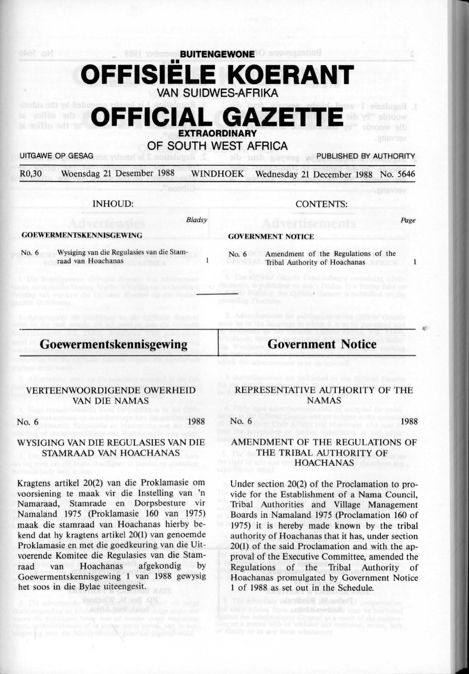**BUITENGEWONE**  •• **OFFISIELE KOERANT VAN SUIDWES-AFRIKA** 

# **OFFICIAL GAZETTI EXTRAORDINARY**

## **OF SOUTH WEST AFRICA**

UITGAWE OP GESAG PUBLISHED BY AUTHORITY

*Page* 

 $\mathbf{I}$ 

~·

R0,30 Woensdag 21 Desember 1988 WINDHOEK Wednesday 21 December 1988 No. 5646

Bladsy

INHOUD:

CONTENTS:

#### **GOEWERMENTSKENNISGEWING**

**GOVERNMENT NOTICE** 

No. 6 Wysiging van die Regulasies van die Stamraad van Hoachanas

No. 6 Amendment of the Regulations of the **Tribal Authority of Hoachanas** 

# **Goewermentskennisgewing**

**Government Notice** 

### VERTEENWOORDIGENDE OWERHEID VAN DIE NAMAS

No. 6 1988

#### WYSIG ING VAN DIE REGULASIES VAN DIE **STAMRAAD VAN HOACHANAS**

Kragtens artikel 20(2) van die Proklamasie om voorsiening te maak vir die Instelling van 'n Namaraad, Stamrade en Dorpsbesture vir Namaland 1975 (Proklamasie 160 van 1975) maak die stamraad van Hoachanas hierby bekend dat hy kragtens artikel 20(1) van genoemde Proklamasie en met die goedkeuring van die Uitvoerende Komitee die Regulasies van die Stamraad van Hoachanas afgekondig by Goewermentskennisgewing 1 van 1988 gewysig het soos in die Bylae uiteengesit.

#### REPRESENTATIVE AUTHORlTY OF THE NAMAS

No. 6 1988

### AMENDMENT OF THE REGULATIONS OF THE TRIBAL AUTHORITY OF **HOACHANAS**

Under section 20(2) of the Proclamation to provide for the Establishment of a Nama Council, Tribal Authorities and Village Management Boards in Namaland 1975 (Proclamation 160 of 1975) it is hereby made known by the tribal authority of Hoachanas that it has, under section 20(1) of the said Proclamation and with the approval of the Executive Committee, amended the Regulations of the Tribal Authority of Hoachanas promulgated by Government Notice l of 1988 as set out in the Schedule.